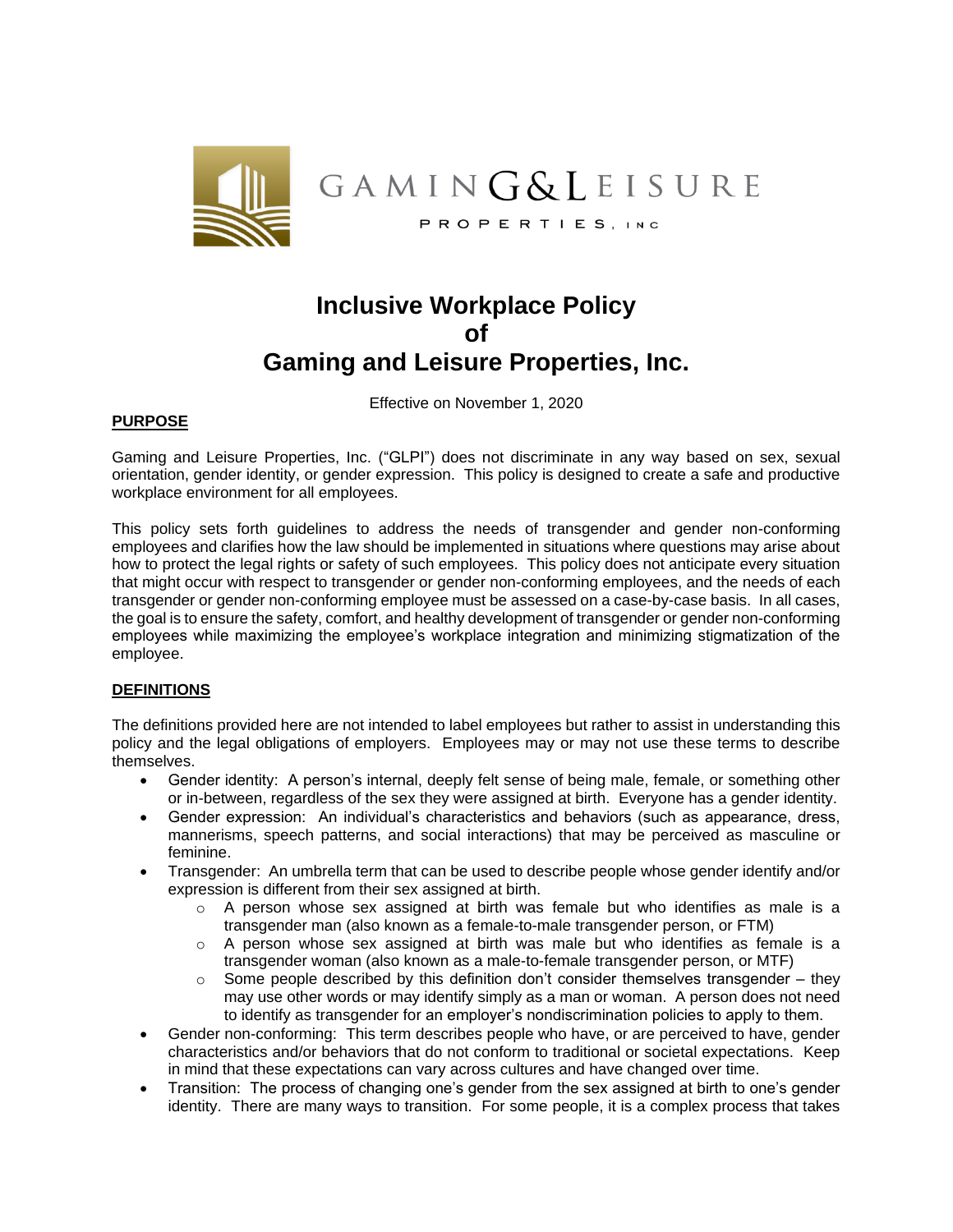

# **Inclusive Workplace Policy of Gaming and Leisure Properties, Inc.**

Effective on November 1, 2020

## **PURPOSE**

Gaming and Leisure Properties, Inc. ("GLPI") does not discriminate in any way based on sex, sexual orientation, gender identity, or gender expression. This policy is designed to create a safe and productive workplace environment for all employees.

This policy sets forth guidelines to address the needs of transgender and gender non-conforming employees and clarifies how the law should be implemented in situations where questions may arise about how to protect the legal rights or safety of such employees. This policy does not anticipate every situation that might occur with respect to transgender or gender non-conforming employees, and the needs of each transgender or gender non-conforming employee must be assessed on a case-by-case basis. In all cases, the goal is to ensure the safety, comfort, and healthy development of transgender or gender non-conforming employees while maximizing the employee's workplace integration and minimizing stigmatization of the employee.

#### **DEFINITIONS**

The definitions provided here are not intended to label employees but rather to assist in understanding this policy and the legal obligations of employers. Employees may or may not use these terms to describe themselves.

- Gender identity: A person's internal, deeply felt sense of being male, female, or something other or in-between, regardless of the sex they were assigned at birth. Everyone has a gender identity.
- Gender expression: An individual's characteristics and behaviors (such as appearance, dress, mannerisms, speech patterns, and social interactions) that may be perceived as masculine or feminine.
- Transgender: An umbrella term that can be used to describe people whose gender identify and/or expression is different from their sex assigned at birth.
	- $\circ$  A person whose sex assigned at birth was female but who identifies as male is a transgender man (also known as a female-to-male transgender person, or FTM)
	- $\circ$  A person whose sex assigned at birth was male but who identifies as female is a transgender woman (also known as a male-to-female transgender person, or MTF)
	- $\circ$  Some people described by this definition don't consider themselves transgender they may use other words or may identify simply as a man or woman. A person does not need to identify as transgender for an employer's nondiscrimination policies to apply to them.
- Gender non-conforming: This term describes people who have, or are perceived to have, gender characteristics and/or behaviors that do not conform to traditional or societal expectations. Keep in mind that these expectations can vary across cultures and have changed over time.
- Transition: The process of changing one's gender from the sex assigned at birth to one's gender identity. There are many ways to transition. For some people, it is a complex process that takes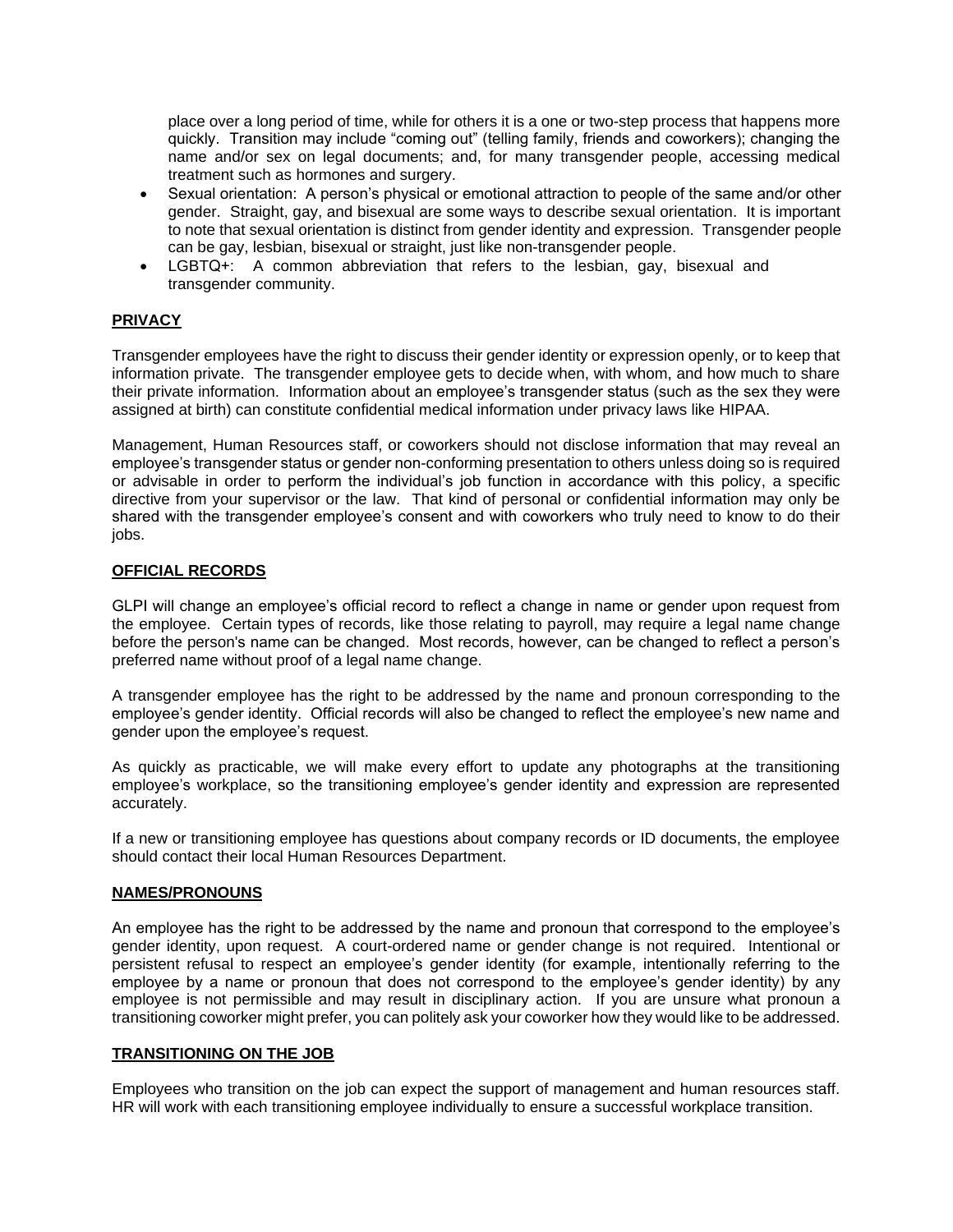place over a long period of time, while for others it is a one or two-step process that happens more quickly. Transition may include "coming out" (telling family, friends and coworkers); changing the name and/or sex on legal documents; and, for many transgender people, accessing medical treatment such as hormones and surgery.

- Sexual orientation: A person's physical or emotional attraction to people of the same and/or other gender. Straight, gay, and bisexual are some ways to describe sexual orientation. It is important to note that sexual orientation is distinct from gender identity and expression. Transgender people can be gay, lesbian, bisexual or straight, just like non-transgender people.
- LGBTQ+: A common abbreviation that refers to the lesbian, gay, bisexual and transgender community.

# **PRIVACY**

Transgender employees have the right to discuss their gender identity or expression openly, or to keep that information private. The transgender employee gets to decide when, with whom, and how much to share their private information. Information about an employee's transgender status (such as the sex they were assigned at birth) can constitute confidential medical information under privacy laws like HIPAA.

Management, Human Resources staff, or coworkers should not disclose information that may reveal an employee's transgender status or gender non-conforming presentation to others unless doing so is required or advisable in order to perform the individual's job function in accordance with this policy, a specific directive from your supervisor or the law. That kind of personal or confidential information may only be shared with the transgender employee's consent and with coworkers who truly need to know to do their jobs.

## **OFFICIAL RECORDS**

GLPI will change an employee's official record to reflect a change in name or gender upon request from the employee. Certain types of records, like those relating to payroll, may require a legal name change before the person's name can be changed. Most records, however, can be changed to reflect a person's preferred name without proof of a legal name change.

A transgender employee has the right to be addressed by the name and pronoun corresponding to the employee's gender identity. Official records will also be changed to reflect the employee's new name and gender upon the employee's request.

As quickly as practicable, we will make every effort to update any photographs at the transitioning employee's workplace, so the transitioning employee's gender identity and expression are represented accurately.

If a new or transitioning employee has questions about company records or ID documents, the employee should contact their local Human Resources Department.

#### **NAMES/PRONOUNS**

An employee has the right to be addressed by the name and pronoun that correspond to the employee's gender identity, upon request. A court-ordered name or gender change is not required. Intentional or persistent refusal to respect an employee's gender identity (for example, intentionally referring to the employee by a name or pronoun that does not correspond to the employee's gender identity) by any employee is not permissible and may result in disciplinary action. If you are unsure what pronoun a transitioning coworker might prefer, you can politely ask your coworker how they would like to be addressed.

## **TRANSITIONING ON THE JOB**

Employees who transition on the job can expect the support of management and human resources staff. HR will work with each transitioning employee individually to ensure a successful workplace transition.